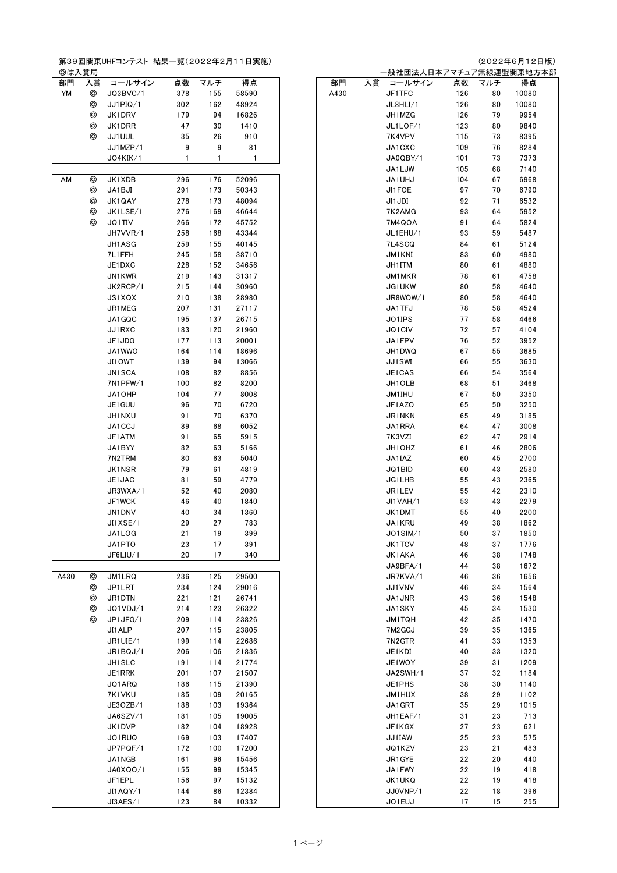第39回関東UHFコンテスト 結果一覧(2022年2月11日実施)<br>◎は入賞局<br>└ 部門 → 賞 コールサイン 占数 マルチ 得占

| 前门   | 人員             | コールサイン                           | 点致  | マルナ | 侍点           | 前门   | 人員 | コールサイン    | 点致  | マルナ            | 侍点    |
|------|----------------|----------------------------------|-----|-----|--------------|------|----|-----------|-----|----------------|-------|
| YM   | $\circledcirc$ | JQ3BVC/1                         | 378 | 155 | 58590        | A430 |    | JF1TFC    | 126 | 80             | 10080 |
|      | $\circledcirc$ | JJ1PIQ/1                         | 302 | 162 | 48924        |      |    | JL8HLI/1  | 126 | 80             | 10080 |
|      | $\circledcirc$ | JK1DRV                           | 179 | 94  | 16826        |      |    | JH1MZG    | 126 | 79             | 9954  |
|      | ⊚              | JK1DRR                           | 47  | 30  | 1410         |      |    | JL1LOF/1  | 123 | 80             | 9840  |
|      | ⊚              | JJ1UUL                           | 35  | 26  | 910          |      |    | 7K4VPV    | 115 | 73             | 8395  |
|      |                | JJ1MZP/1                         | 9   | 9   | 81           |      |    | JA1CXC    | 109 | 76             | 8284  |
|      |                |                                  |     |     |              |      |    |           |     |                |       |
|      |                | JO4KIK/1                         | 1   | 1   | $\mathbf{1}$ |      |    | JA0QBY/1  | 101 | 73             | 7373  |
|      |                |                                  |     |     |              |      |    | JA1LJW    | 105 | 68             | 7140  |
| AM   | $\circledcirc$ | JK1XDB                           | 296 | 176 | 52096        |      |    | JA1UHJ    | 104 | 67             | 6968  |
|      | $\circledcirc$ | JA1BJI                           | 291 | 173 | 50343        |      |    | JI1FOE    | 97  | 70             | 6790  |
|      | $\circledcirc$ | JK1QAY                           | 278 | 173 | 48094        |      |    | JI1JDI    | 92  | 71             | 6532  |
|      | $\circledcirc$ | JK1LSE/1                         | 276 | 169 | 46644        |      |    | 7K2AMG    | 93  | 64             | 5952  |
|      | $\circledcirc$ | JQ1TIV                           | 266 | 172 | 45752        |      |    | 7M4QOA    | 91  | 64             | 5824  |
|      |                | JH7VVR/1                         | 258 | 168 | 43344        |      |    | JL1EHU/1  | 93  | 59             | 5487  |
|      |                | JH1ASG                           | 259 | 155 | 40145        |      |    | 7L4SCQ    | 84  | 61             | 5124  |
|      |                | 7L1FFH                           | 245 | 158 | 38710        |      |    | JM1KNI    | 83  | 60             | 4980  |
|      |                | JE1DXC                           | 228 | 152 | 34656        |      |    | JH1ITM    | 80  | 61             | 4880  |
|      |                |                                  |     | 143 |              |      |    |           |     |                |       |
|      |                | JN1KWR                           | 219 |     | 31317        |      |    | JM1MKR    | 78  | 61             | 4758  |
|      |                | JK2RCP/1                         | 215 | 144 | 30960        |      |    | JG1UKW    | 80  | 58             | 4640  |
|      |                | JS1XQX                           | 210 | 138 | 28980        |      |    | JR8WOW/1  | 80  | 58             | 4640  |
|      |                | JR1MEG                           | 207 | 131 | 27117        |      |    | JA1TFJ    | 78  | 58             | 4524  |
|      |                | JA1GQC                           | 195 | 137 | 26715        |      |    | JO1IPS    | 77  | 58             | 4466  |
|      |                | JJ1RXC                           | 183 | 120 | 21960        |      |    | JQ1CIV    | 72  | 57             | 4104  |
|      |                | JF1JDG                           | 177 | 113 | 20001        |      |    | JA1FPV    | 76  | 52             | 3952  |
|      |                | JA1WWO                           | 164 | 114 | 18696        |      |    | JH1DWQ    | 67  | 55             | 3685  |
|      |                | JI10WT                           | 139 | 94  | 13066        |      |    | JJ1SWI    | 66  | 55             | 3630  |
|      |                | JN1SCA                           | 108 | 82  | 8856         |      |    | JE1CAS    | 66  | 54             | 3564  |
|      |                | 7N1PFW/1                         | 100 | 82  | 8200         |      |    | JH1OLB    | 68  | 51             | 3468  |
|      |                | JA10HP                           | 104 | 77  | 8008         |      |    | JM1IHU    | 67  | 50             | 3350  |
|      |                | JE1 GUU                          | 96  | 70  | 6720         |      |    | JF1AZQ    | 65  | 50             | 3250  |
|      |                |                                  |     |     |              |      |    |           |     |                |       |
|      |                | JH1NXU                           | 91  | 70  | 6370         |      |    | JR1NKN    | 65  | 49             | 3185  |
|      |                | JA1CCJ                           | 89  | 68  | 6052         |      |    | JA1RRA    | 64  | 47             | 3008  |
|      |                | JF1ATM                           | 91  | 65  | 5915         |      |    | 7K3VZI    | 62  | 47             | 2914  |
|      |                | JA1BYY                           | 82  | 63  | 5166         |      |    | JH1 OHZ   | 61  | 46             | 2806  |
|      |                | 7N2TRM                           | 80  | 63  | 5040         |      |    | JA1IAZ    | 60  | 45             | 2700  |
|      |                | JK1NSR                           | 79  | 61  | 4819         |      |    | JQ1BID    | 60  | 43             | 2580  |
|      |                | JE1JAC                           | 81  | 59  | 4779         |      |    | JG1LHB    | 55  | 43             | 2365  |
|      |                | JR3WXA/1                         | 52  | 40  | 2080         |      |    | JR1LEV    | 55  | 42             | 2310  |
|      |                | JF1WCK                           | 46  | 40  | 1840         |      |    | JI1VAH/1  | 53  | 43             | 2279  |
|      |                | JN1DNV                           | 40  | 34  | 1360         |      |    | JK1DMT    | 55  | 40             | 2200  |
|      |                | JI1XSE/1                         | 29  | 27  | 783          |      |    | JA1KRU    | 49  | 38             | 1862  |
|      |                | JA1LOG                           | 21  | 19  | 399          |      |    | JO1SIM/1  | 50  | 37             | 1850  |
|      |                | JA1PTO                           | 23  | 17  | 391          |      |    | JK1TCV    | 48  | 37             | 1776  |
|      |                | JF6LIU/1                         | 20  | 17  | 340          |      |    | JK1AKA    | 46  | 38             | 1748  |
|      |                |                                  |     |     |              |      |    | JA9BFA/1  | 44  | 38             | 1672  |
|      |                |                                  |     |     |              |      |    |           |     |                |       |
| A430 | ⊚              | JM1LRQ                           | 236 | 125 | 29500        |      |    | JR7KVA/1  | 46  | 36             | 1656  |
|      | ⊚              | JP1LRT                           | 234 | 124 | 29016        |      |    | JJ1VNV    | 46  | 34             | 1564  |
|      | ⊚              | JR1DTN                           | 221 | 121 | 26741        |      |    | JA1JNR    | 43  | 36             | 1548  |
|      | ⊚              | JQ1VDJ/1                         | 214 | 123 | 26322        |      |    | JA1SKY    | 45  | 34             | 1530  |
|      | ⊚              | JP1JFG/1                         | 209 | 114 | 23826        |      |    | JM1TQH    | 42  | 35             | 1470  |
|      |                | JI1ALP                           | 207 | 115 | 23805        |      |    | 7M2GGJ    | 39  | 35             | 1365  |
|      |                | JR1UIE/1                         | 199 | 114 | 22686        |      |    | 7N2GTR    | 41  | 33             | 1353  |
|      |                | JR1BQJ/1                         | 206 | 106 | 21836        |      |    | JE1KDI    | 40  | 33             | 1320  |
|      |                | JH1SLC                           | 191 | 114 | 21774        |      |    | JE1WOY    | 39  | 31             | 1209  |
|      |                | JE1RRK                           | 201 | 107 | 21507        |      |    | JA2SWH/1  | 37  | 32             | 1184  |
|      |                | JQ1ARQ                           | 186 | 115 | 21390        |      |    | JE1PHS    | 38  | 30             | 1140  |
|      |                | 7K1VKU                           | 185 | 109 | 20165        |      |    | JM1HUX    | 38  | 29             | 1102  |
|      |                |                                  |     |     |              |      |    |           |     |                |       |
|      |                | JE3OZB/1                         | 188 | 103 | 19364        |      |    | JA1GRT    | 35  | 29             | 1015  |
|      |                | JA6SZV/1                         | 181 | 105 | 19005        |      |    | JH1EAF/1  | 31  | 23             | 713   |
|      |                | JK1DVP                           | 182 | 104 | 18928        |      |    | JF1KGX    | 27  | 23             | 621   |
|      |                | JO1RUQ                           | 169 | 103 | 17407        |      |    | JJ1IAW    | 25  | 23             | 575   |
|      |                | JP7PQF/1                         | 172 | 100 | 17200        |      |    | JQ1KZV    | 23  | 21             | 483   |
|      |                | JA1NGB                           | 161 | 96  | 15456        |      |    | JR1GYE    | 22  | 20             | 440   |
|      |                | JA0XQO/1                         | 155 | 99  | 15345        |      |    | JA1FWY    | 22  | 19             | 418   |
|      |                | JF1EPL                           | 156 | 97  | 15132        |      |    | JK1UKQ    | 22  | 19             | 418   |
|      |                | IT1 $\Lambda$ $\Omega$ $\vee$ /1 | 144 | 96  | 12394        |      |    | 1101/ND/1 | ን ን | 1 <sub>Q</sub> | 396   |

(2022年6月12日版)

| ◎は入賞局 |                |          |              |      |              |      |    | 一般社団法人日本アマチュア無線連盟関東地方本部 |     |     |       |
|-------|----------------|----------|--------------|------|--------------|------|----|-------------------------|-----|-----|-------|
| 部門    | 入賞             | コールサイン   | 点数           | マルチ  | 得点           | 部門   | 入賞 | コールサイン                  | 点数  | マルチ | 得点    |
| YM    | $\circledcirc$ | JQ3BVC/1 | 378          | 155  | 58590        | A430 |    | JF1TFC                  | 126 | 80  | 10080 |
|       | $^{\circ}$     | JJ1PIQ/1 | 302          | 162  | 48924        |      |    | JL8HLI/1                | 126 | 80  | 10080 |
|       | ⊚              | JK1DRV   | 179          | 94   | 16826        |      |    | JH1MZG                  | 126 | 79  | 9954  |
|       |                |          |              |      |              |      |    |                         |     |     |       |
|       | ⊚              | JK1DRR   | 47           | 30   | 1410         |      |    | JL1LOF/1                | 123 | 80  | 9840  |
|       | ⊚              | JJ1UUL   | 35           | 26   | 910          |      |    | 7K4VPV                  | 115 | 73  | 8395  |
|       |                | JJ1MZP/1 | 9            | 9    | 81           |      |    | JA1CXC                  | 109 | 76  | 8284  |
|       |                | JO4KIK/1 | $\mathbf{1}$ | 1    | $\mathbf{1}$ |      |    | JA0QBY/1                | 101 | 73  | 7373  |
|       |                |          |              |      |              |      |    | JA1LJW                  | 105 | 68  | 7140  |
| AM    | $\circledcirc$ | JK1XDB   | 296          | 176  | 52096        |      |    | JA1UHJ                  | 104 | 67  | 6968  |
|       | $\circledcirc$ | JA1BJI   | 291          | 173  | 50343        |      |    | JI1FOE                  | 97  | 70  | 6790  |
|       |                |          |              |      |              |      |    |                         |     |     |       |
|       | ⊚              | JK1QAY   | 278          | 173  | 48094        |      |    | JI1JDI                  | 92  | 71  | 6532  |
|       | ⊚              | JK1LSE/1 | 276          | 169  | 46644        |      |    | 7K2AMG                  | 93  | 64  | 5952  |
|       | ⊚              | JQ1TIV   | 266          | 172  | 45752        |      |    | 7M4QOA                  | 91  | 64  | 5824  |
|       |                | JH7VVR/1 | 258          | 168  | 43344        |      |    | JL1EHU/1                | 93  | 59  | 5487  |
|       |                | JH1ASG   | 259          | 155  | 40145        |      |    | 7L4SCQ                  | 84  | 61  | 5124  |
|       |                | 7L1FFH   | 245          | 158  | 38710        |      |    | JM1KNI                  | 83  | 60  | 4980  |
|       |                | JE1DXC   | 228          | 152  | 34656        |      |    | JH1ITM                  | 80  | 61  | 4880  |
|       |                | JN1KWR   | 219          | 143  | 31317        |      |    | JM1MKR                  | 78  | 61  | 4758  |
|       |                |          |              |      |              |      |    |                         |     |     |       |
|       |                | JK2RCP/1 | 215          | 144  | 30960        |      |    | JG1UKW                  | 80  | 58  | 4640  |
|       |                | JS1XQX   | 210          | 138  | 28980        |      |    | JR8WOW/1                | 80  | 58  | 4640  |
|       |                | JR1MEG   | 207          | 131  | 27117        |      |    | JA1TFJ                  | 78  | 58  | 4524  |
|       |                | JA1GQC   | 195          | 137  | 26715        |      |    | JO1IPS                  | 77  | 58  | 4466  |
|       |                | JJ1RXC   | 183          | 120  | 21960        |      |    | JQ1CIV                  | 72  | 57  | 4104  |
|       |                | JF1JDG   | 177          | 113  | 20001        |      |    | JA1FPV                  | 76  | 52  | 3952  |
|       |                | JA1WWO   | 164          | 114  | 18696        |      |    | JH1DWQ                  | 67  | 55  | 3685  |
|       |                |          |              |      |              |      |    |                         |     |     |       |
|       |                | JI1OWT   | 139          | 94   | 13066        |      |    | <b>JJ1SWI</b>           | 66  | 55  | 3630  |
|       |                | JN1SCA   | 108          | 82   | 8856         |      |    | JE1CAS                  | 66  | 54  | 3564  |
|       |                | 7N1PFW/1 | 100          | 82   | 8200         |      |    | JH1OLB                  | 68  | 51  | 3468  |
|       |                | JA10HP   | 104          | 77   | 8008         |      |    | JM1IHU                  | 67  | 50  | 3350  |
|       |                | JE1GUU   | 96           | 70   | 6720         |      |    | JF1AZQ                  | 65  | 50  | 3250  |
|       |                | JH1NXU   | 91           | 70   | 6370         |      |    | JR1NKN                  | 65  | 49  | 3185  |
|       |                | JA1CCJ   | 89           | 68   | 6052         |      |    | JA1RRA                  | 64  | 47  | 3008  |
|       |                |          |              |      |              |      |    |                         |     |     |       |
|       |                | JF1ATM   | 91           | 65   | 5915         |      |    | 7K3VZI                  | 62  | 47  | 2914  |
|       |                | JA1BYY   | 82           | 63   | 5166         |      |    | JH1OHZ                  | 61  | 46  | 2806  |
|       |                | 7N2TRM   | 80           | 63   | 5040         |      |    | JA1IAZ                  | 60  | 45  | 2700  |
|       |                | JK1NSR   | 79           | 61   | 4819         |      |    | JQ1BID                  | 60  | 43  | 2580  |
|       |                | JE1JAC   | 81           | 59   | 4779         |      |    | JG1LHB                  | 55  | 43  | 2365  |
|       |                | JR3WXA/1 | 52           | 40   | 2080         |      |    | JR1LEV                  | 55  | 42  | 2310  |
|       |                | JF1WCK   | 46           | 40   | 1840         |      |    | JI1VAH/1                | 53  | 43  | 2279  |
|       |                | JN1DNV   | 40           |      | 1360         |      |    |                         |     | 40  | 2200  |
|       |                |          |              | 34   |              |      |    | JK1DMT                  | 55  |     |       |
|       |                | JI1XSE/1 | 29           | 27   | 783          |      |    | JA1KRU                  | 49  | 38  | 1862  |
|       |                | JA1LOG   | 21           | $19$ | 399          |      |    | JO1SIM/1                | 50  | 37  | 1850  |
|       |                | JA1PTO   | 23           | 17   | 391          |      |    | JK1TCV                  | 48  | 37  | 1776  |
|       |                | JF6LIU/1 | 20           | 17   | 340          |      |    | JK1AKA                  | 46  | 38  | 1748  |
|       |                |          |              |      |              |      |    | JA9BFA/1                | 44  | 38  | 1672  |
| A430  | ⊚              | JM1LRQ   | 236          | 125  | 29500        |      |    | JR7KVA/1                | 46  | 36  | 1656  |
|       | ⊚              | JP1LRT   | 234          | 124  | 29016        |      |    | JJ1VNV                  | 46  | 34  | 1564  |
|       | ⊚              |          |              |      |              |      |    |                         |     | 36  |       |
|       |                | JR1DTN   | 221          | 121  | 26741        |      |    | JA1JNR                  | 43  |     | 1548  |
|       | ⊚              | JQ1VDJ/1 | 214          | 123  | 26322        |      |    | JA1SKY                  | 45  | 34  | 1530  |
|       | ⊚              | JP1JFG/1 | 209          | 114  | 23826        |      |    | JM1TQH                  | 42  | 35  | 1470  |
|       |                | JI1ALP   | 207          | 115  | 23805        |      |    | 7M2GGJ                  | 39  | 35  | 1365  |
|       |                | JR1UIE/1 | 199          | 114  | 22686        |      |    | 7N2GTR                  | 41  | 33  | 1353  |
|       |                | JR1BQJ/1 | 206          | 106  | 21836        |      |    | JE1KDI                  | 40  | 33  | 1320  |
|       |                | JH1SLC   | 191          | 114  | 21774        |      |    | JE1WOY                  | 39  | 31  | 1209  |
|       |                | JE1RRK   | 201          | 107  | 21507        |      |    | JA2SWH/1                | 37  | 32  | 1184  |
|       |                |          |              |      |              |      |    |                         |     |     |       |
|       |                | JQ1ARQ   | 186          | 115  | 21390        |      |    | JE1PHS                  | 38  | 30  | 1140  |
|       |                | 7K1VKU   | 185          | 109  | 20165        |      |    | JM1HUX                  | 38  | 29  | 1102  |
|       |                | JE3OZB/1 | 188          | 103  | 19364        |      |    | JA1GRT                  | 35  | 29  | 1015  |
|       |                | JA6SZV/1 | 181          | 105  | 19005        |      |    | JH1EAF/1                | 31  | 23  | 713   |
|       |                | JK1DVP   | 182          | 104  | 18928        |      |    | JF1KGX                  | 27  | 23  | 621   |
|       |                | JO1RUQ   | 169          | 103  | 17407        |      |    | JJ1IAW                  | 25  | 23  | 575   |
|       |                | JP7PQF/1 | 172          | 100  | 17200        |      |    | JQ1KZV                  | 23  | 21  | 483   |
|       |                |          |              |      |              |      |    |                         |     |     |       |
|       |                | JA1NGB   | 161          | 96   | 15456        |      |    | JR1GYE                  | 22  | 20  | 440   |
|       |                | JA0XQO/1 | 155          | 99   | 15345        |      |    | JA1FWY                  | 22  | 19  | 418   |
|       |                | JF1EPL   | 156          | 97   | 15132        |      |    | JK1UKQ                  | 22  | 19  | 418   |
|       |                | JI1AQY/1 | 144          | 86   | 12384        |      |    | JJ0VNP/1                | 22  | 18  | 396   |
|       |                | JI3AES/1 | 123          | 84   | 10332        |      |    | JO1EUJ                  | 17  | 15  | 255   |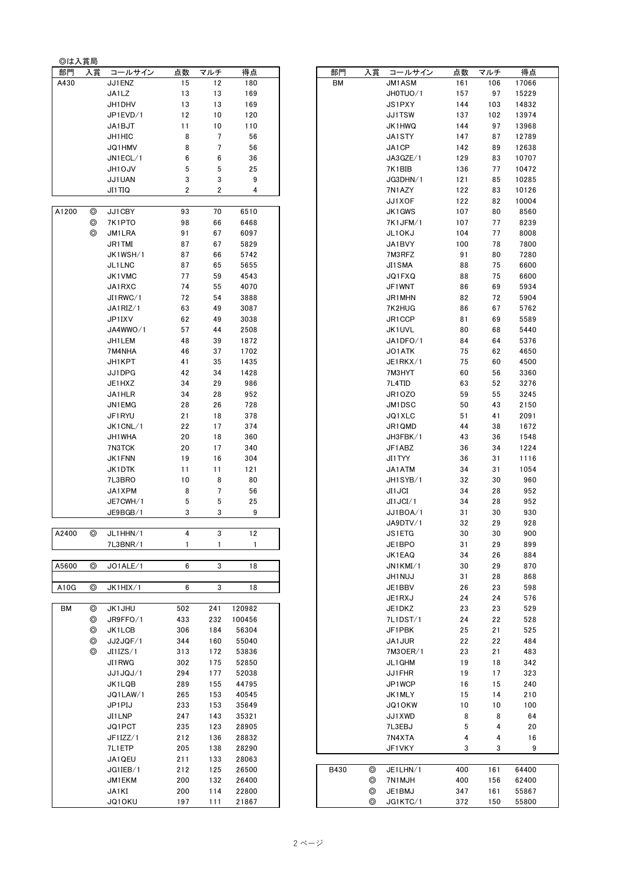| ◎は入賞局 |                |                  |                |                |              |      |    |                    |          |          |              |
|-------|----------------|------------------|----------------|----------------|--------------|------|----|--------------------|----------|----------|--------------|
| 部門    | 入賞             | コールサイン           | 点数             | マルチ            | 得点           | 部門   | 入賞 | コールサイン             | 点数       | マルチ      | 得点           |
| A430  |                | JJ1ENZ           | 15             | 12             | 180          | BM   |    | <b>JM1ASM</b>      | 161      | 106      | 17066        |
|       |                | JA1LZ            | 13             | 13             | 169          |      |    | JH0TUO/1           | 157      | 97       | 15229        |
|       |                | JH1DHV           | 13             | 13             | 169          |      |    | JS1PXY             | 144      | 103      | 14832        |
|       |                | JP1EVD/1         | 12             | 10             | 120          |      |    | <b>JJ1TSW</b>      | 137      | 102      | 13974        |
|       |                | JA1BJT           | 11             | 10             | 110          |      |    | JK1HWQ             | 144      | 97       | 13968        |
|       |                | JH1HIC           | 8              | $\overline{7}$ | 56           |      |    | JA1STY             | 147      | 87       | 12789        |
|       |                | JQ1HMV           | 8              | $\overline{7}$ | 56           |      |    | JA1CP              | 142      | 89       | 12638        |
|       |                | JN1ECL/1         | 6              | 6              | 36           |      |    | JA3GZE/1           | 129      | 83       | 10707        |
|       |                | JH10JV           | 5              | 5              | 25           |      |    | 7K1BIB             | 136      | 77       | 10472        |
|       |                | JJ1UAN           | 3              | 3              | 9            |      |    | JG3DHN/1           | 121      | 85       | 10285        |
|       |                | JI1TIQ           | $\overline{2}$ | 2              | 4            |      |    | 7N1AZY             | 122      | 83       | 10126        |
|       |                |                  |                |                |              |      |    | JJ1XOF             | 122      | 82       | 10004        |
| A1200 | $\circledcirc$ | JJ1CBY           | 93             | 70             | 6510         |      |    | JK1GWS             | 107      | 80       | 8560         |
|       | ⊚              | 7K1PTO           | 98             | 66             | 6468         |      |    | 7K1JFM/1           | 107      | 77       | 8239         |
|       | ⊚              | JM1LRA           | 91             | 67             | 6097         |      |    | JL1OKJ             | 104      | 77       | 8008         |
|       |                | JR1TMI           | 87             | 67             | 5829         |      |    | JA1BVY             | 100      | 78       | 7800         |
|       |                | JK1WSH/1         | 87             | 66             | 5742         |      |    | 7M3RFZ             | 91       | 80       | 7280         |
|       |                | JL1LNC           | 87             | 65             | 5655         |      |    | JI1SMA             | 88       | 75       | 6600         |
|       |                | JK1VMC           | 77             | 59             | 4543         |      |    | JQ1FXQ             | 88       | 75       | 6600         |
|       |                | JA1RXC           | 74             | 55             | 4070         |      |    | JF1WNT             | 86       | 69       | 5934         |
|       |                | JI1RWC/1         | 72             | 54             | 3888         |      |    | JR1MHN             | 82       | 72       | 5904         |
|       |                | JA1RIZ/1         | 63             | 49             | 3087         |      |    | 7K2HUG             | 86       | 67       | 5762         |
|       |                | JP1IXV           | 62             | 49             | 3038         |      |    | JR1CCP             | 81       | 69       | 5589         |
|       |                | JA4WWO/1         | 57             | 44             | 2508         |      |    | JK1UVL             | 80       | 68       | 5440         |
|       |                | JH1 LEM          | 48             | 39             | 1872         |      |    | JA1DFO/1           | 84       | 64       | 5376         |
|       |                | 7M4NHA           | 46             | 37             | 1702         |      |    | JO1ATK             | 75       | 62       | 4650         |
|       |                | JH1KPT           | 41             | 35             | 1435         |      |    | JE1RKX/1           | 75       | 60       | 4500         |
|       |                | JJ1DPG           | 42             | 34             | 1428         |      |    | 7M3HYT             | 60       | 56       | 3360         |
|       |                | JE1HXZ           | 34             | 29             | 986          |      |    | 7L4TID             | 63       | 52       | 3276         |
|       |                | JA1HLR           | 34             | 28             | 952          |      |    | JR10Z0             | 59       | 55       | 3245         |
|       |                | JN1EMG           | 28             | 26             | 728          |      |    | JM1DSC             | 50       | 43       | 2150         |
|       |                | JF1RYU           | 21             | 18             | 378          |      |    | JQ1XLC             | 51       | 41       | 2091         |
|       |                | JK1 CNL/1        | 22             | 17             | 374          |      |    | JR1QMD             | 44       | 38       | 1672         |
|       |                | JH1 WHA          | 20             | 18             | 360          |      |    | JH3FBK/1           | 43       | 36       | 1548         |
|       |                | 7N3TCK           | 20             | 17<br>16       | 340<br>304   |      |    | JF1ABZ             | 36       | 34       | 1224         |
|       |                | JK1FNN           | 19             |                | 121          |      |    | JI1TYY             | 36       | 31       | 1116<br>1054 |
|       |                | JK1DTK<br>7L3BRO | 11<br>10       | 11<br>8        | 80           |      |    | JA1ATM<br>JH1SYB/1 | 34<br>32 | 31<br>30 | 960          |
|       |                | JA1XPM           | 8              | $\overline{7}$ | 56           |      |    | <b>JI1JCI</b>      | 34       | 28       | 952          |
|       |                | JE7CWH/1         | 5              | 5              | 25           |      |    | JI1JCI/1           | 34       | 28       | 952          |
|       |                | JE9BGB/1         | 3              | 3              | 9            |      |    | JJ1BOA/1           | 31       | 30       | 930          |
|       |                |                  |                |                |              |      |    | JA9DTV/1           | 32       | 29       | 928          |
| A2400 | ⊚              | JL1HHN/1         | 4              | 3              | 12           |      |    | JS1ETG             | 30       | 30       | 900          |
|       |                | 7L3BNR/1         | $\mathbf{1}$   | 1              | $\mathbf{1}$ |      |    | JE1BPO             | 31       | 29       | 899          |
|       |                |                  |                |                |              |      |    | JK1EAQ             | 34       | 26       | 884          |
| A5600 | ⊚              | JO1ALE/1         | 6              | 3              | 18           |      |    | JN1KMI/1           | 30       | 29       | 870          |
|       |                |                  |                |                |              |      |    | <b>JH1NUJ</b>      | 31       | 28       | 868          |
| A10G  | $^{\circ}$     | JK1HIX/1         | 6              | 3              | 18           |      |    | JE1BBV             | 26       | 23       | 598          |
|       |                |                  |                |                |              |      |    | JE1RXJ             | 24       | 24       | 576          |
| BM    | ⊚              | JK1JHU           | 502            | 241            | 120982       |      |    | JE1DKZ             | 23       | 23       | 529          |
|       | ◎              | JR9FFO/1         | 433            | 232            | 100456       |      |    | 7L1DST/1           | 24       | 22       | 528          |
|       | ⊚              | JK1LCB           | 306            | 184            | 56304        |      |    | JF1PBK             | 25       | 21       | 525          |
|       | ⊚              | JJ2JQF/1         | 344            | 160            | 55040        |      |    | JA1JUR             | 22       | 22       | 484          |
|       | ⊚              | JIIZS/1          | 313            | 172            | 53836        |      |    | 7M30ER/1           | 23       | 21       | 483          |
|       |                | JI1RWG           | 302            | 175            | 52850        |      |    | JL1 GHM            | 19       | 18       | 342          |
|       |                | JJ1JQJ/1         | 294            | 177            | 52038        |      |    | JJ1FHR             | 19       | 17       | 323          |
|       |                | JK1LQB           | 289            | 155            | 44795        |      |    | JP1WCP             | 16       | 15       | 240          |
|       |                | JQ1LAW/1         | 265            | 153            | 40545        |      |    | JK1MLY             | 15       | 14       | 210          |
|       |                | JP1PIJ           | 233            | 153            | 35649        |      |    | <b>JQ1OKW</b>      | 10       | 10       | 100          |
|       |                | JI1LNP           | 247            | 143            | 35321        |      |    | JJ1XWD             | 8        | 8        | 64           |
|       |                | JQ1PCT           | 235            | 123            | 28905        |      |    | 7L3EBJ             | 5        | 4        | 20           |
|       |                | JF1IZZ/1         | 212            | 136            | 28832        |      |    | 7N4XTA             | 4        | 4        | 16           |
|       |                | 7L1ETP           | 205            | 138            | 28290        |      |    | JF1VKY             | 3        | 3        | 9            |
|       |                | JA1QEU           | 211            | 133            | 28063        |      |    |                    |          |          |              |
|       |                | JGIIEB/1         | 212            | 125            | 26500        | B430 | ⊚  | JE1LHN/1           | 400      | 161      | 64400        |
|       |                | JM1EKM           | 200            | 132            | 26400        |      | ⊚  | 7N1MJH             | 400      | 156      | 62400        |
|       |                | JA1KI            | 200            | 114            | 22800        |      | ⊚  | JE1BMJ             | 347      | 161      | 55867        |
|       |                | JQ10KU           | 197            | 111            | 21867        |      | ⊚  | JG1KTC/1           | 372      | 150      | 55800        |

| 部門    | 入賞 | コールサイン        | 点数  | マルチ | 得点     | 部門        | 入賞 | コールサイン        | 点数  | マルチ | 得点    |
|-------|----|---------------|-----|-----|--------|-----------|----|---------------|-----|-----|-------|
| A430  |    | JJ1ENZ        | 15  | 12  | 180    | <b>BM</b> |    | JM1ASM        | 161 | 106 | 17066 |
|       |    | JA1LZ         | 13  | 13  | 169    |           |    | JH0TUO/1      | 157 | 97  | 15229 |
|       |    | JH1DHV        | 13  | 13  | 169    |           |    | JS1PXY        | 144 | 103 | 14832 |
|       |    | JP1EVD/1      | 12  | 10  | 120    |           |    | JJ1TSW        | 137 | 102 | 13974 |
|       |    | JA1BJT        | 11  | 10  | 110    |           |    | JK1HWQ        | 144 | 97  | 13968 |
|       |    |               |     |     |        |           |    |               |     |     |       |
|       |    | JH1HIC        | 8   | 7   | 56     |           |    | JA1STY        | 147 | 87  | 12789 |
|       |    | JQ1HMV        | 8   | 7   | 56     |           |    | JA1CP         | 142 | 89  | 12638 |
|       |    | JN1ECL/1      | 6   | 6   | 36     |           |    | JA3GZE/1      | 129 | 83  | 10707 |
|       |    | <b>JH1OJV</b> | 5   | 5   | 25     |           |    | 7K1BIB        | 136 | 77  | 10472 |
|       |    | JJ1UAN        | 3   | 3   | 9      |           |    | JG3DHN/1      | 121 | 85  | 10285 |
|       |    |               | 2   | 2   | 4      |           |    | 7N1AZY        | 122 | 83  | 10126 |
|       |    | JI1TIQ        |     |     |        |           |    |               |     |     |       |
|       |    |               |     |     |        |           |    | JJ1XOF        | 122 | 82  | 10004 |
| 11200 | ◎  | JJ1CBY        | 93  | 70  | 6510   |           |    | JK1GWS        | 107 | 80  | 8560  |
|       | ◎  | 7K1PTO        | 98  | 66  | 6468   |           |    | 7K1JFM/1      | 107 | 77  | 8239  |
|       | ⊚  | JM1LRA        | 91  | 67  | 6097   |           |    | JL10KJ        | 104 | 77  | 8008  |
|       |    | JR1TMI        | 87  | 67  | 5829   |           |    | JA1BVY        | 100 | 78  | 7800  |
|       |    |               |     |     | 5742   |           |    |               |     |     | 7280  |
|       |    | JK1WSH/1      | 87  | 66  |        |           |    | 7M3RFZ        | 91  | 80  |       |
|       |    | JL1LNC        | 87  | 65  | 5655   |           |    | JI1SMA        | 88  | 75  | 6600  |
|       |    | JK1VMC        | 77  | 59  | 4543   |           |    | JQ1FXQ        | 88  | 75  | 6600  |
|       |    | JA1RXC        | 74  | 55  | 4070   |           |    | JF1WNT        | 86  | 69  | 5934  |
|       |    | JI1RWC/1      | 72  | 54  | 3888   |           |    | JR1MHN        | 82  | 72  | 5904  |
|       |    | JA1RIZ/1      | 63  | 49  | 3087   |           |    | 7K2HUG        | 86  | 67  | 5762  |
|       |    |               |     |     |        |           |    | JR1CCP        |     |     |       |
|       |    | JP1IXV        | 62  | 49  | 3038   |           |    |               | 81  | 69  | 5589  |
|       |    | JA4WWO/1      | 57  | 44  | 2508   |           |    | JK1UVL        | 80  | 68  | 5440  |
|       |    | JH1 LEM       | 48  | 39  | 1872   |           |    | JA1DFO/1      | 84  | 64  | 5376  |
|       |    | 7M4NHA        | 46  | 37  | 1702   |           |    | JO1ATK        | 75  | 62  | 4650  |
|       |    | JH1 KPT       | 41  | 35  | 1435   |           |    | JE1RKX/1      | 75  | 60  | 4500  |
|       |    | JJ1DPG        | 42  | 34  | 1428   |           |    | 7M3HYT        | 60  | 56  | 3360  |
|       |    |               |     |     |        |           |    |               |     |     |       |
|       |    | JE1HXZ        | 34  | 29  | 986    |           |    | 7L4TID        | 63  | 52  | 3276  |
|       |    | JA1HLR        | 34  | 28  | 952    |           |    | JR10Z0        | 59  | 55  | 3245  |
|       |    | JN1EMG        | 28  | 26  | 728    |           |    | JM1DSC        | 50  | 43  | 2150  |
|       |    | JF1RYU        | 21  | 18  | 378    |           |    | JQ1XLC        | 51  | 41  | 2091  |
|       |    | JK1CNL/1      | 22  | 17  | 374    |           |    | JR1QMD        | 44  | 38  | 1672  |
|       |    |               |     |     |        |           |    |               |     |     |       |
|       |    | JH1WHA        | 20  | 18  | 360    |           |    | JH3FBK/1      | 43  | 36  | 1548  |
|       |    | 7N3TCK        | 20  | 17  | 340    |           |    | JF1ABZ        | 36  | 34  | 1224  |
|       |    | JK1FNN        | 19  | 16  | 304    |           |    | JI1TYY        | 36  | 31  | 1116  |
|       |    | JK1DTK        | 11  | 11  | 121    |           |    | JA1ATM        | 34  | 31  | 1054  |
|       |    | 7L3BRO        | 10  | 8   | 80     |           |    | JH1SYB/1      | 32  | 30  | 960   |
|       |    | JA1XPM        | 8   | 7   | 56     |           |    | <b>JI1JCI</b> | 34  | 28  | 952   |
|       |    |               |     |     |        |           |    |               |     |     |       |
|       |    | JE7CWH/1      | 5   | 5   | 25     |           |    | JI1JCI/1      | 34  | 28  | 952   |
|       |    | JE9BGB/1      | 3   | 3   | 9      |           |    | JJ1BOA/1      | 31  | 30  | 930   |
|       |    |               |     |     |        |           |    | JA9DTV/1      | 32  | 29  | 928   |
| 42400 |    | JL1HHN/1      |     | 3   | $12$   |           |    | JS1ETG        | 30  | 30  | 900   |
|       |    | 7L3BNR/1      | 1   | 1   | 1      |           |    | JE1BPO        | 31  | 29  | 899   |
|       |    |               |     |     |        |           |    |               |     |     |       |
|       |    |               |     |     |        |           |    | JK1EAQ        | 34  | 26  | 884   |
| 45600 | ⊚  | JO1ALE/1      | 6   | 3   | 18     |           |    | JN1KMI/1      | 30  | 29  | 870   |
|       |    |               |     |     |        |           |    | <b>JH1NUJ</b> | 31  | 28  | 868   |
| A10G  | ⊚  | JK1HIX/1      | 6   | 3   | 18     |           |    | JE1BBV        | 26  | 23  | 598   |
|       |    |               |     |     |        |           |    | JE1RXJ        | 24  | 24  | 576   |
| BM    | ⊚  | JK1JHU        | 502 | 241 | 120982 |           |    | JE1DKZ        | 23  | 23  | 529   |
|       | ⊚  | JR9FFO/1      | 433 | 232 | 100456 |           |    | 7L1DST/1      | 24  | 22  | 528   |
|       |    |               |     |     |        |           |    |               |     |     |       |
|       | ◎  | JK1LCB        | 306 | 184 | 56304  |           |    | JF1PBK        | 25  | 21  | 525   |
|       | ⊚  | JJ2JQF/1      | 344 | 160 | 55040  |           |    | JA1JUR        | 22  | 22  | 484   |
|       | ⊚  | JIIZS/1       | 313 | 172 | 53836  |           |    | 7M3OER/1      | 23  | 21  | 483   |
|       |    | JI1RWG        | 302 | 175 | 52850  |           |    | JL1GHM        | 19  | 18  | 342   |
|       |    | JJ1JQJ/1      | 294 | 177 | 52038  |           |    | JJ1FHR        | 19  | 17  | 323   |
|       |    |               |     |     |        |           |    |               |     |     |       |
|       |    | JK1LQB        | 289 | 155 | 44795  |           |    | JP1WCP        | 16  | 15  | 240   |
|       |    | JQ1LAW/1      | 265 | 153 | 40545  |           |    | JK1MLY        | 15  | 14  | 210   |
|       |    | JP1PIJ        | 233 | 153 | 35649  |           |    | JQ10KW        | 10  | 10  | 100   |
|       |    | JI1LNP        | 247 | 143 | 35321  |           |    | JJ1XWD        | 8   | 8   | 64    |
|       |    | JQ1PCT        | 235 | 123 | 28905  |           |    | 7L3EBJ        | 5   | 4   | 20    |
|       |    |               |     |     |        |           |    |               |     |     |       |
|       |    | JF1IZZ/1      | 212 | 136 | 28832  |           |    | 7N4XTA        | 4   | 4   | 16    |
|       |    | 7L1ETP        | 205 | 138 | 28290  |           |    | JF1VKY        | 3   | 3   | 9     |
|       |    | JA1QEU        | 211 | 133 | 28063  |           |    |               |     |     |       |
|       |    | JG1IEB/1      | 212 | 125 | 26500  | B430      | ◎  | JE1LHN/1      | 400 | 161 | 64400 |
|       |    | JM1EKM        | 200 | 132 | 26400  |           | ⊚  | 7N1MJH        | 400 | 156 | 62400 |
|       |    | JA1KI         | 200 | 114 | 22800  |           | ◎  | JE1BMJ        | 347 | 161 | 55867 |
|       |    |               |     |     |        |           |    |               |     |     |       |
|       |    | JQ10KU        | 197 | 111 | 21867  |           | ⊚  | JG1KTC/1      | 372 | 150 | 55800 |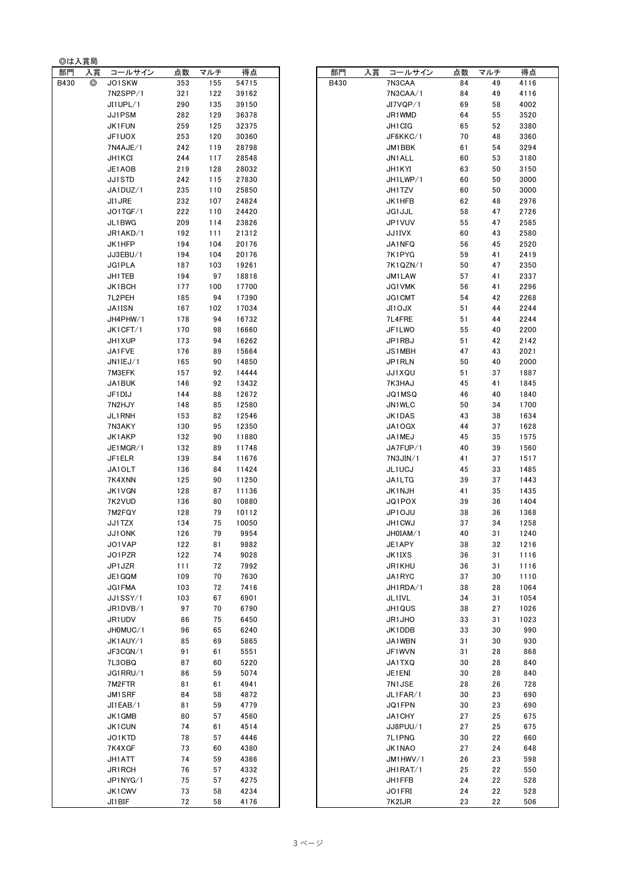| ◎は入賞局 |    |                      |            |            |                |      |    |                  |          |          |              |
|-------|----|----------------------|------------|------------|----------------|------|----|------------------|----------|----------|--------------|
| 部門    | 入賞 | コールサイン               | 点数         | マルチ        | 得点             | 部門   | 入賞 | コールサイン           | 点数       | マルチ      | 得点           |
| B430  | ⊚  | JO1SKW               | 353        | 155        | 54715          | B430 |    | 7N3CAA           | 84       | 49       | 4116         |
|       |    | 7N2SPP/1             | 321        | 122        | 39162          |      |    | 7N3CAA/1         | 84       | 49       | 4116         |
|       |    | JI1UPL/1             | 290        | 135        | 39150          |      |    | JI7VQP/1         | 69       | 58       | 4002         |
|       |    | JJ1PSM               | 282        | 129        | 36378          |      |    | JR1WMD           | 64       | 55       | 3520         |
|       |    | JK1FUN               | 259        | 125        | 32375          |      |    | JH1CIG           | 65       | 52       | 3380         |
|       |    | JF1UOX               | 253        | 120        | 30360          |      |    | JF6KKC/1         | 70       | 48       | 3360         |
|       |    | 7N4AJE/1             | 242        | 119        | 28798          |      |    | JM1BBK           | 61       | 54       | 3294         |
|       |    | JH1 KCI              | 244        | 117        | 28548          |      |    | JN1ALL           | 60       | 53       | 3180         |
|       |    | JE1AOB               | 219        | 128        | 28032          |      |    | JH1KYI           | 63       | 50       | 3150         |
|       |    | JJ1STD               | 242        | 115        | 27830          |      |    | JH1LWP/1         | 60       | 50       | 3000         |
|       |    | JA1DUZ/1             | 235        | 110        | 25850          |      |    | JH1TZV           | 60       | 50       | 3000         |
|       |    | JI1 JRE<br>JO1TGF/1  | 232<br>222 | 107<br>110 | 24824<br>24420 |      |    | JK1HFB<br>JG1JJL | 62<br>58 | 48<br>47 | 2976<br>2726 |
|       |    | JL1BWG               | 209        | 114        | 23826          |      |    | JP1VUV           | 55       | 47       | 2585         |
|       |    | JR1AKD/1             | 192        | 111        | 21312          |      |    | JJ1IVX           | 60       | 43       | 2580         |
|       |    | JK1HFP               | 194        | 104        | 20176          |      |    | JA1NFQ           | 56       | 45       | 2520         |
|       |    | JJ3EBU/1             | 194        | 104        | 20176          |      |    | 7K1PYG           | 59       | 41       | 2419         |
|       |    | JG1 PLA              | 187        | 103        | 19261          |      |    | 7K1QZN/1         | 50       | 47       | 2350         |
|       |    | JH1 TEB              | 194        | 97         | 18818          |      |    | JM1LAW           | 57       | 41       | 2337         |
|       |    | JK1BCH               | 177        | 100        | 17700          |      |    | JG1VMK           | 56       | 41       | 2296         |
|       |    | 7L2PEH               | 185        | 94         | 17390          |      |    | JG1CMT           | 54       | 42       | 2268         |
|       |    | <b>JA1ISN</b>        | 167        | 102        | 17034          |      |    | <b>JI1OJX</b>    | 51       | 44       | 2244         |
|       |    | JH4PHW/1             | 178        | 94         | 16732          |      |    | 7L4FRE           | 51       | 44       | 2244         |
|       |    | JK1CFT/1             | 170        | 98         | 16660          |      |    | JF1LWO           | 55       | 40       | 2200         |
|       |    | JH1 XUP              | 173        | 94         | 16262          |      |    | JP1RBJ           | 51       | 42       | 2142         |
|       |    | JA1FVE               | 176        | 89         | 15664          |      |    | JS1MBH           | 47       | 43       | 2021         |
|       |    | JN1IEJ/1             | 165        | 90         | 14850          |      |    | JP1RLN           | 50       | 40       | 2000         |
|       |    | 7M3EFK               | 157        | 92         | 14444          |      |    | JJ1XQU           | 51       | 37       | 1887         |
|       |    | JA1BUK               | 146        | 92         | 13432          |      |    | 7K3HAJ           | 45       | 41       | 1845         |
|       |    | JF1DIJ               | 144        | 88         | 12672          |      |    | JQ1MSQ           | 46       | 40       | 1840         |
|       |    | 7N2HJY               | 148        | 85         | 12580          |      |    | JN1WLC           | 50       | 34       | 1700         |
|       |    | JL1RNH               | 153        | 82         | 12546          |      |    | JK1DAS           | 43       | 38       | 1634         |
|       |    | 7N3AKY               | 130        | 95         | 12350          |      |    | JA10GX           | 44       | 37       | 1628         |
|       |    | JK1AKP               | 132        | 90         | 11880          |      |    | JA1MEJ           | 45       | 35       | 1575         |
|       |    | JE1MGR/1             | 132        | 89         | 11748          |      |    | JA7FUP/1         | 40       | 39       | 1560         |
|       |    | JF1ELR               | 139        | 84         | 11676          |      |    | 7N3JIN/1         | 41       | 37       | 1517         |
|       |    | JA1OLT               | 136        | 84         | 11424          |      |    | JL1UCJ           | 45       | 33       | 1485         |
|       |    | 7K4XNN               | 125        | 90         | 11250          |      |    | JA1LTG           | 39       | 37       | 1443         |
|       |    | <b>JK1VGN</b>        | 128        | 87         | 11136          |      |    | JK1NJH           | 41       | 35       | 1435         |
|       |    | 7K2VUD               | 136        | 80         | 10880          |      |    | JQ1POX           | 39       | 36       | 1404         |
|       |    | 7M2FQY               | 128        | 79         | 10112          |      |    | JP10JU           | 38       | 36       | 1368         |
|       |    | JJ1TZX               | 134        | 75         | 10050          |      |    | JH1CWJ           | 37       | 34       | 1258         |
|       |    | JJ10NK               | 126        | 79         | 9954           |      |    | JH0IAM/1         | 40       | 31       | 1240         |
|       |    | JO1VAP               | 122        | 81         | 9882           |      |    | JE1APY           | 38       | 32       | 1216         |
|       |    | JO1PZR               | 122        | 74         | 9028           |      |    | JK1IXS           | 36       | 31       | 1116         |
|       |    | JP1JZR               | 111        | 72         | 7992           |      |    | JR1KHU           | 36       | 31       | 1116         |
|       |    | JE1GQM               | 109        | 70         | 7630           |      |    | JA1RYC           | 37       | 30       | 1110         |
|       |    | JG1 FMA              | 103        | 72         | 7416           |      |    | JH1RDA/1         | 38       | 28       | 1064         |
|       |    | JJ1SSY/1             | 103        | 67         | 6901           |      |    | JL1IVL           | 34       | 31       | 1054         |
|       |    | JR1DVB/1             | 97         | 70         | 6790<br>6450   |      |    | JH1QUS           | 38       | 27       | 1026         |
|       |    | JR1UDV               | 86         | 75<br>65   |                |      |    | JR1JHO           | 33       | 31       | 1023<br>990  |
|       |    | JH0MUC/1<br>JK1AUY/1 | 96<br>85   | 69         | 6240<br>5865   |      |    | JK1DDB<br>JA1WBN | 33<br>31 | 30<br>30 | 930          |
|       |    | JF3CGN/1             | 91         | 61         | 5551           |      |    | JF1WVN           | 31       | 28       | 868          |
|       |    | 7L3OBQ               | 87         | 60         | 5220           |      |    | JA1TXQ           | 30       | 28       | 840          |
|       |    | JG1RRU/1             | 86         | 59         | 5074           |      |    | JE1ENI           | 30       | 28       | 840          |
|       |    | 7M2FTR               | 81         | 61         | 4941           |      |    | 7N1JSE           | 28       | 26       | 728          |
|       |    | JM1SRF               | 84         | 58         | 4872           |      |    | JL1FAR/1         | 30       | 23       | 690          |
|       |    | JILEAB/1             | 81         | 59         | 4779           |      |    | JQ1FPN           | 30       | 23       | 690          |
|       |    | JK1 GMB              | 80         | 57         | 4560           |      |    | JA1CHY           | 27       | 25       | 675          |
|       |    | JK1CUN               | 74         | 61         | 4514           |      |    | JJ8PUU/1         | 27       | 25       | 675          |
|       |    | JO1KTD               | 78         | 57         | 4446           |      |    | 7L1PNG           | 30       | 22       | 660          |
|       |    | 7K4XGF               | 73         | 60         | 4380           |      |    | JK1NAO           | 27       | 24       | 648          |
|       |    | JH1 ATT              | 74         | 59         | 4366           |      |    | JM1HWV/1         | 26       | 23       | 598          |
|       |    | JR1RCH               | 76         | 57         | 4332           |      |    | JH1RAT/1         | 25       | 22       | 550          |
|       |    | JP1NYG/1             | 75         | 57         | 4275           |      |    | JH1FFB           | 24       | 22       | 528          |
|       |    | JK1CWV               | 73         | 58         | 4234           |      |    | JO1FRI           | 24       | 22       | 528          |
|       |    | $II1$ RIE            | 72         | 5.9        | 1176           |      |    | 7K2I1D           | າາ       | っっ       | 506          |

| コールサイン             | 点数         | マルチ        | 得点             | 部門   | 入賞 | コールサイン                  | 点数       | マルチ      | 得点           |
|--------------------|------------|------------|----------------|------|----|-------------------------|----------|----------|--------------|
| JO1SKW             | 353        | 155        | 54715          | B430 |    | 7N3CAA                  | 84       | 49       | 4116         |
| 7N2SPP/1           | 321        | 122        | 39162          |      |    | 7N3CAA/1                | 84       | 49       | 4116         |
| JI1UPL/1           | 290        | 135        | 39150          |      |    | JI7VQP/1                | 69       | 58       | 4002         |
| JJ1PSM             | 282        | 129        | 36378          |      |    | JR1WMD                  | 64       | 55       | 3520         |
| JK1 FUN            | 259        | 125        | 32375          |      |    | JH1CIG                  | 65       | 52       | 3380         |
| JF1UOX             | 253        | 120        | 30360          |      |    | JF6KKC/1                | 70       | 48       | 3360         |
| 7N4AJE/1           | 242        | 119        | 28798          |      |    | JM1BBK                  | 61       | 54       | 3294         |
| JH1 KCI            | 244        | 117        | 28548          |      |    | JN1ALL                  | 60       | 53       | 3180         |
| JE1AOB             | 219        | 128        | 28032          |      |    | JH1KYI                  | 63       | 50       | 3150         |
| JJ1STD             | 242        | 115        | 27830          |      |    | JH1LWP/1                | 60       | 50       | 3000         |
| JA1DUZ/1           | 235        | 110        | 25850          |      |    | JH1TZV                  | 60       | 50       | 3000         |
| JI1 JRE            | 232        | 107        | 24824          |      |    | JK1HFB                  | 62       | 48       | 2976         |
| JO1TGF/1           | 222        | 110<br>114 | 24420          |      |    | JG1JJL                  | 58<br>55 | 47<br>47 | 2726         |
| JL1BWG<br>JR1AKD/1 | 209<br>192 | 111        | 23826<br>21312 |      |    | JP1VUV<br><b>JJ1IVX</b> | 60       | 43       | 2585<br>2580 |
| JK1HFP             | 194        | 104        | 20176          |      |    | JA1NFQ                  | 56       | 45       | 2520         |
| JJ3EBU/1           | 194        | 104        | 20176          |      |    | 7K1PYG                  | 59       | 41       | 2419         |
| JG1 PLA            | 187        | 103        | 19261          |      |    | 7K1QZN/1                | 50       | 47       | 2350         |
| JH1 TEB            | 194        | 97         | 18818          |      |    | JM1LAW                  | 57       | 41       | 2337         |
| JK1BCH             | 177        | 100        | 17700          |      |    | JG1VMK                  | 56       | 41       | 2296         |
| 7L2PEH             | 185        | 94         | 17390          |      |    | JG1CMT                  | 54       | 42       | 2268         |
| JA1ISN             | 167        | 102        | 17034          |      |    | <b>JI1OJX</b>           | 51       | 44       | 2244         |
| JH4PHW/1           | 178        | 94         | 16732          |      |    | 7L4FRE                  | 51       | 44       | 2244         |
| JK1CFT/1           | 170        | 98         | 16660          |      |    | JF1LWO                  | 55       | 40       | 2200         |
| JH1 XUP            | 173        | 94         | 16262          |      |    | JP1RBJ                  | 51       | 42       | 2142         |
| JA1FVE             | 176        | 89         | 15664          |      |    | JS1MBH                  | 47       | 43       | 2021         |
| JN1IEJ/1           | 165        | 90         | 14850          |      |    | JP1RLN                  | 50       | 40       | 2000         |
| 7M3EFK             | 157        | 92         | 14444          |      |    | JJ1XQU                  | 51       | 37       | 1887         |
| JA1BUK             | 146        | 92         | 13432          |      |    | 7K3HAJ                  | 45       | 41       | 1845         |
| JF1DIJ             | 144        | 88         | 12672          |      |    | JQ1MSQ                  | 46       | 40       | 1840         |
| 7N2HJY             | 148        | 85         | 12580          |      |    | JN1WLC                  | 50       | 34       | 1700         |
| JL1RNH             | 153        | 82         | 12546          |      |    | JK1DAS                  | 43       | 38       | 1634         |
| 7N3AKY             | 130        | 95         | 12350          |      |    | JA1OGX                  | 44       | 37       | 1628         |
| JK1AKP             | 132        | 90         | 11880          |      |    | JA1MEJ                  | 45       | 35       | 1575         |
| JE1MGR/1           | 132        | 89         | 11748          |      |    | JA7FUP/1                | 40       | 39       | 1560         |
| JF1ELR             | 139        | 84         | 11676          |      |    | 7N3JIN/1                | 41       | 37       | 1517         |
| JA1OLT             | 136        | 84         | 11424          |      |    | JL1UCJ                  | 45       | 33       | 1485         |
| 7K4XNN             | 125        | 90         | 11250          |      |    | JA1LTG                  | 39       | 37       | 1443         |
| JK1VGN             | 128        | 87         | 11136          |      |    | JK1NJH                  | 41       | 35       | 1435         |
| 7K2VUD<br>7M2FQY   | 136<br>128 | 80<br>79   | 10880<br>10112 |      |    | JQ1POX<br>JP10JU        | 39<br>38 | 36<br>36 | 1404<br>1368 |
| JJ1TZX             | 134        | 75         | 10050          |      |    | JH1CWJ                  | 37       | 34       | 1258         |
| JJ10NK             | 126        | 79         | 9954           |      |    | JH0IAM/1                | 40       | 31       | 1240         |
| JO1VAP             | 122        | 81         | 9882           |      |    | JE1APY                  | 38       | 32       | 1216         |
| JO1PZR             | 122        | 74         | 9028           |      |    | JK1IXS                  | 36       | 31       | 1116         |
| JP1JZR             | 111        | 72         | 7992           |      |    | JR1KHU                  | 36       | 31       | 1116         |
| JE1GQM             | 109        | 70         | 7630           |      |    | JA1RYC                  | 37       | 30       | 1110         |
| JG1 FMA            | 103        | 72         | 7416           |      |    | JH1RDA/1                | 38       | 28       | 1064         |
| JJ1SSY/1           | 103        | 67         | 6901           |      |    | JL1IVL                  | 34       | 31       | 1054         |
| JR1DVB/1           | 97         | 70         | 6790           |      |    | JH1QUS                  | 38       | 27       | 1026         |
| JR1UDV             | 86         | 75         | 6450           |      |    | JR1JHO                  | 33       | 31       | 1023         |
| JH0MUC/1           | 96         | 65         | 6240           |      |    | JK1DDB                  | 33       | 30       | 990          |
| JK1AUY/1           | 85         | 69         | 5865           |      |    | JA1WBN                  | 31       | 30       | 930          |
| JF3CGN/1           | 91         | 61         | 5551           |      |    | JF1WVN                  | 31       | 28       | 868          |
| 7L3OBQ             | 87         | 60         | 5220           |      |    | JA1TXQ                  | 30       | 28       | 840          |
| JG1 RRU/1          | 86         | 59         | 5074           |      |    | JE1ENI                  | 30       | 28       | 840          |
| 7M2FTR             | 81         | 61         | 4941           |      |    | 7N1JSE                  | 28       | 26       | 728          |
| JM1SRF             | 84         | 58         | 4872           |      |    | JL1FAR/1                | 30       | 23       | 690          |
| JI1EAB/1           | 81         | 59         | 4779           |      |    | JQ1FPN                  | 30       | 23       | 690          |
| JK1 GMB            | 80         | 57         | 4560           |      |    | JA1CHY                  | 27       | 25       | 675          |
| JK1CUN             | 74         | 61         | 4514           |      |    | JJ8PUU/1                | 27       | 25       | 675          |
| JO1KTD             | 78         | 57         | 4446           |      |    | 7L1PNG                  | 30       | 22       | 660          |
| 7K4XGF             | 73         | 60         | 4380           |      |    | JK1NAO                  | 27       | 24       | 648          |
| JH1 ATT            | 74         | 59         | 4366           |      |    | JM1HWV/1                | 26       | 23       | 598          |
| JR1 RCH            | 76         | 57         | 4332           |      |    | JH1RAT/1                | 25       | 22       | 550          |
| JP1NYG/1           | 75         | 57         | 4275           |      |    | JH1FFB                  | 24       | 22       | 528          |
| <b>JK1CWV</b>      | 73         | 58         | 4234           |      |    | JO1FRI                  | 24       | 22       | 528          |
| JI1BIF             | 72         | 58         | 4176           |      |    | 7K2IJR                  | 23       | 22       | 506          |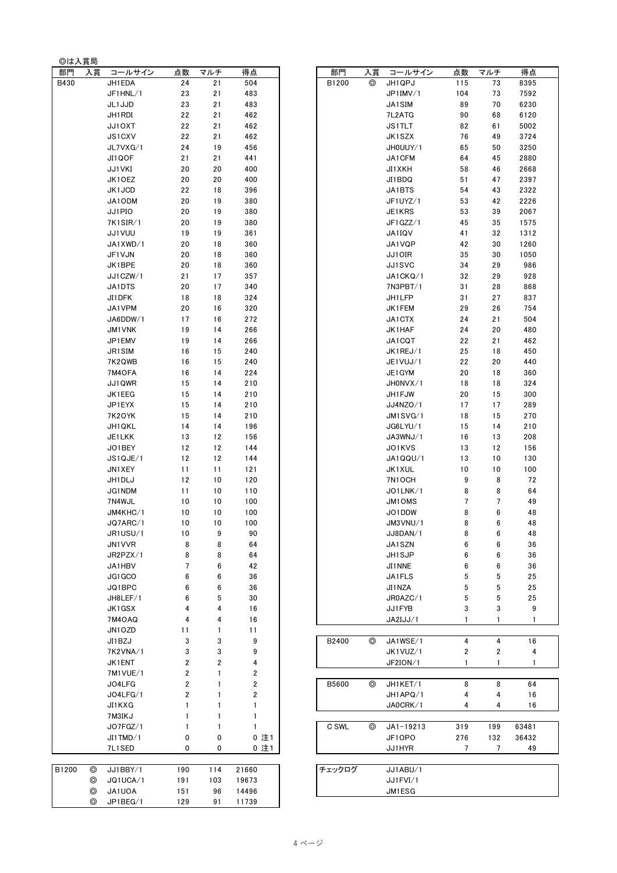| 部門    | 入賞 | コールサイン            | 点数             | マルチ              | 得点                      | 部門     | 入賞 | コールサ・              |
|-------|----|-------------------|----------------|------------------|-------------------------|--------|----|--------------------|
| B430  |    | JH1EDA            | 24             | 21               | 504                     | B1200  | ⊚  | JH1QPJ             |
|       |    | JF1HNL/1          | 23             | 21               | 483                     |        |    | JP1IMV/1           |
|       |    | JL1 JJD           | 23             | 21               | 483                     |        |    | JA1SIM             |
|       |    | JH1 RDI           | 22             | 21               | 462                     |        |    | 7L2ATG             |
|       |    | JJ10XT            | 22             | 21               | 462                     |        |    | JS1TLT             |
|       |    | JS1CXV            | 22             | 21               | 462                     |        |    | JK1SZX             |
|       |    | JL7VXG/1          | 24             | 19               | 456                     |        |    | JH0UUY/1           |
|       |    | JI1QOF            | 21             | 21               | 441                     |        |    | JA1CFM             |
|       |    | JJ1VKI            | 20             | 20               | 400                     |        |    | JI1XKH             |
|       |    | JK10EZ            | 20             | 20               | 400                     |        |    | JI1BDQ             |
|       |    | JK1JCD            | 22             | 18               | 396                     |        |    | JA1BTS             |
|       |    | JA1ODM            | 20             | 19               | 380                     |        |    | JF1UYZ/1           |
|       |    | JJ1PIO            | 20             | 19               | 380                     |        |    | JE1KRS             |
|       |    | 7K1SIR/1          | 20             | 19               | 380                     |        |    | JF1GZZ/1           |
|       |    | JJ1VUU            | 19             | 19               | 361                     |        |    | JA1IQV             |
|       |    | JA1XWD/1          | 20             | 18               | 360                     |        |    | JA1VQP             |
|       |    | JF1VJN            | 20             | 18               | 360                     |        |    | JJ10IR             |
|       |    | JK1BPE            | 20             | 18               | 360                     |        |    | JJ1SVC             |
|       |    | JJ1CZW/1          | 21             | 17               | 357                     |        |    | JA1CKQ/1           |
|       |    | JA1DTS            | 20             | 17               | 340                     |        |    | 7N3PBT/1           |
|       |    | JI1DFK            | 18             | 18               | 324                     |        |    | JH1LFP             |
|       |    | JA1VPM            | 20             | 16               | 320                     |        |    | JK1FEM             |
|       |    | JA6DDW/1          | 17             | 16               | 272                     |        |    | JA1CTX             |
|       |    | <b>JM1VNK</b>     | 19<br>19       | 14<br>14         | 266<br>266              |        |    | JK1HAF             |
|       |    | JP1EMV<br>JR1 SIM | 16             | 15               | 240                     |        |    | JA1CQT<br>JK1REJ/1 |
|       |    | 7K2QWB            | 16             | 15               | 240                     |        |    | JE1VUJ/1           |
|       |    | 7M4OFA            | 16             | 14               | 224                     |        |    | JE1 GYM            |
|       |    | JJ1QWR            | 15             | 14               | 210                     |        |    | JH0NVX/1           |
|       |    | JK1EEG            | 15             | 14               | 210                     |        |    | JH1 FJW            |
|       |    | JP1EYX            | 15             | 14               | 210                     |        |    | JJ4NZO/1           |
|       |    | 7K2OYK            | 15             | 14               | 210                     |        |    | JM1SVG/1           |
|       |    | JH1 QKL           | 14             | 14               | 196                     |        |    | JG6LYU/1           |
|       |    | JE1LKK            | 13             | 12               | 156                     |        |    | JA3WNJ/1           |
|       |    | JO1BEY            | 12             | 12               | 144                     |        |    | JO1KVS             |
|       |    | JS1QJE/1          | 12             | 12               | 144                     |        |    | JA1QQU/            |
|       |    | JN1XEY            | 11             | 11               | 121                     |        |    | JK1XUL             |
|       |    | JH1 DLJ           | 12             | 10               | 120                     |        |    | 7N1OCH             |
|       |    | <b>JG1NDM</b>     | 11             | 10               | 110                     |        |    | JO1LNK/1           |
|       |    | 7N4WJL            | 10             | 10               | 100                     |        |    | JM10MS             |
|       |    | JM4KHC/1          | 10             | 10               | 100                     |        |    | JO1DDW             |
|       |    | JQ7ARC/1          | 10             | 10               | 100                     |        |    | JM3VNU/1           |
|       |    | JR1USU/1          | 10             | 9                | 90                      |        |    | JJ8DAN/1           |
|       |    | JN1VVR            | 8              | 8                | 64                      |        |    | JA1SZN             |
|       |    | JR2PZX/1          | 8              | 8                | 64                      |        |    | JH1SJP             |
|       |    | JA1HBV            | $\overline{7}$ | $\bf 6$          | 42                      |        |    | JI1 NNE            |
|       |    | JG1GCO            | 6              | 6                | 36                      |        |    | JA1FLS             |
|       |    | JQ1BPC            | 6              | 6                | 36                      |        |    | JI1 NZA            |
|       |    | JH8LEF/1          | 6              | 5                | 30                      |        |    | JR0AZC/1           |
|       |    | JK1GSX            | 4              | 4                | 16                      |        |    | JJ1FYB             |
|       |    | 7M4OAQ            | 4              | 4                | 16                      |        |    | JA2IJJ/1           |
|       |    | JN1OZD            | 11             | 1                | 11                      |        |    |                    |
|       |    | JI1BZJ            | 3              | 3                | 9                       | B2400  | ⊚  | JA1WSE/1           |
|       |    | 7K2VNA/1          | 3              | 3                | 9                       |        |    | JK1VUZ/1           |
|       |    | JK1ENT            | 2              | $\boldsymbol{2}$ | 4                       |        |    | JF2ION/1           |
|       |    | 7M1VUE/1          | 2              | 1                | 2                       |        |    |                    |
|       |    | JO4LFG            | 2              | 1                | $\overline{\mathbf{2}}$ | B5600  | ⊚  | JH1KET/1           |
|       |    | JO4LFG/1          | 2              | 1                | 2                       |        |    | JH1APQ/1           |
|       |    | JI1KXG            | $\mathbf{1}$   | 1                | 1                       |        |    | JA0CRK/1           |
|       |    | 7M3IKJ            | 1              | 1                | 1                       |        |    |                    |
|       |    | JO7FGZ/1          | 1              | 1                | 1                       | C SWL  | ⊚  | $JA1 - 1921$       |
|       |    | JI1TMD/1          | 0              | 0                | 0 注1                    |        |    | JF10PO             |
|       |    | 7L1SED            | 0              | 0                | 0 注1                    |        |    | JJ1HYR             |
|       |    |                   |                |                  |                         |        |    |                    |
| B1200 | ◎  | JJ1BBY/1          | 190            | 114              | 21660                   | チェックログ |    | JJ1ABU/1           |
|       | ⊚  | JQ1UCA/1          | 191            | 103              | 19673                   |        |    | JJ1FVI/1           |
|       | ⊚  | JA1UOA            | 151            | 96               | 14496                   |        |    | JM1ESG             |
|       | ⊚  | JP1BEG/1          | 129            | 91               | 11739                   |        |    |                    |

◎は入賞局

| 部門    | 入賞 | コールサイン        | 点数                      | マルチ                     | 得点                      | 部門     | 入賞 | コールサイン        | 点数           | マルチ            | 得点    |
|-------|----|---------------|-------------------------|-------------------------|-------------------------|--------|----|---------------|--------------|----------------|-------|
| B430  |    | JH1EDA        | 24                      | 21                      | 504                     | B1200  | ⊚  | JH1QPJ        | 115          | 73             | 8395  |
|       |    | JF1HNL/1      | 23                      | 21                      | 483                     |        |    | JP1IMV/1      | 104          | 73             | 7592  |
|       |    | JL1 JJD       | 23                      | 21                      | 483                     |        |    | JA1SIM        | 89           | 70             | 6230  |
|       |    |               |                         |                         |                         |        |    |               |              |                |       |
|       |    | JH1 RDI       | 22                      | 21                      | 462                     |        |    | 7L2ATG        | 90           | 68             | 6120  |
|       |    | JJ10XT        | 22                      | 21                      | 462                     |        |    | <b>JS1TLT</b> | 82           | 61             | 5002  |
|       |    | JS1CXV        | 22                      | 21                      | 462                     |        |    | JK1SZX        | 76           | 49             | 3724  |
|       |    | JL7VXG/1      | 24                      | 19                      | 456                     |        |    | JH0UUY/1      | 65           | 50             | 3250  |
|       |    | JI1QOF        | 21                      | 21                      | 441                     |        |    | JA1CFM        | 64           | 45             | 2880  |
|       |    | JJ1VKI        | 20                      | 20                      | 400                     |        |    | JI1XKH        | 58           | 46             | 2668  |
|       |    | JK1OEZ        | 20                      | 20                      | 400                     |        |    | JI1BDQ        | 51           | 47             | 2397  |
|       |    | JK1JCD        | 22                      | 18                      | 396                     |        |    | JA1BTS        | 54           | 43             | 2322  |
|       |    | JA1ODM        | 20                      | 19                      | 380                     |        |    | JF1UYZ/1      | 53           | 42             | 2226  |
|       |    | JJ1PIO        | 20                      | 19                      | 380                     |        |    | JE1KRS        | 53           | 39             | 2067  |
|       |    | 7K1SIR/1      | 20                      | 19                      | 380                     |        |    | JF1GZZ/1      | 45           | 35             | 1575  |
|       |    | JJ1VUU        | 19                      | 19                      | 361                     |        |    | JA1IQV        | 41           | 32             | 1312  |
|       |    | JA1XWD/1      | 20                      | 18                      | 360                     |        |    | JA1VQP        | 42           | 30             | 1260  |
|       |    |               | 20                      |                         | 360                     |        |    |               | 35           | 30             | 1050  |
|       |    | JF1VJN        |                         | 18                      |                         |        |    | JJ10IR        |              |                |       |
|       |    | JK1BPE        | 20                      | 18                      | 360                     |        |    | JJ1SVC        | 34           | 29             | 986   |
|       |    | JJ1CZW/1      | 21                      | 17                      | 357                     |        |    | JA1CKQ/1      | 32           | 29             | 928   |
|       |    | JA1DTS        | 20                      | 17                      | 340                     |        |    | 7N3PBT/1      | 31           | 28             | 868   |
|       |    | JI1DFK        | 18                      | 18                      | 324                     |        |    | JH1LFP        | 31           | 27             | 837   |
|       |    | JA1VPM        | 20                      | 16                      | 320                     |        |    | JK1FEM        | 29           | 26             | 754   |
|       |    | JA6DDW/1      | 17                      | 16                      | 272                     |        |    | JA1CTX        | 24           | 21             | 504   |
|       |    | <b>JM1VNK</b> | 19                      | 14                      | 266                     |        |    | JK1HAF        | 24           | 20             | 480   |
|       |    | JP1EMV        | 19                      | 14                      | 266                     |        |    | JA1CQT        | 22           | 21             | 462   |
|       |    | JR1SIM        | 16                      | 15                      | 240                     |        |    | JK1REJ/1      | 25           | 18             | 450   |
|       |    | 7K2QWB        | 16                      | 15                      | 240                     |        |    | JE1VUJ/1      | 22           | 20             | 440   |
|       |    | 7M4OFA        | 16                      | 14                      | 224                     |        |    | JE1 GYM       | 20           | 18             | 360   |
|       |    | JJ1QWR        | 15                      | 14                      | 210                     |        |    | JH0NVX/1      | 18           | 18             | 324   |
|       |    | JK1EEG        | 15                      | 14                      | 210                     |        |    | JH1FJW        | 20           | 15             | 300   |
|       |    | JP1EYX        | 15                      | 14                      | 210                     |        |    | JJ4NZO/1      | 17           | 17             | 289   |
|       |    |               |                         |                         |                         |        |    |               |              |                |       |
|       |    | 7K2OYK        | 15                      | 14                      | 210                     |        |    | JM1SVG/1      | 18           | 15             | 270   |
|       |    | JH1 QKL       | 14                      | 14                      | 196                     |        |    | JG6LYU/1      | 15           | 14             | 210   |
|       |    | JE1LKK        | 13                      | 12                      | 156                     |        |    | JA3WNJ/1      | 16           | 13             | 208   |
|       |    | JO1BEY        | 12                      | 12                      | 144                     |        |    | JO1KVS        | 13           | 12             | 156   |
|       |    | JS1QJE/1      | 12                      | 12                      | 144                     |        |    | JA1QQU/1      | 13           | 10             | 130   |
|       |    | JN1XEY        | 11                      | 11                      | 121                     |        |    | JK1XUL        | $10$         | 10             | 100   |
|       |    | JH1DLJ        | 12                      | 10                      | 120                     |        |    | 7N1OCH        | 9            | 8              | 72    |
|       |    | JG1NDM        | 11                      | 10                      | 110                     |        |    | JO1LNK/1      | 8            | 8              | 64    |
|       |    | 7N4WJL        | 10                      | 10                      | 100                     |        |    | <b>JM1OMS</b> | 7            | 7              | 49    |
|       |    | JM4KHC/1      | 10                      | 10                      | 100                     |        |    | JO1DDW        | 8            | 6              | 48    |
|       |    | JQ7ARC/1      | 10                      | 10                      | 100                     |        |    | JM3VNU/1      | 8            | 6              | 48    |
|       |    | JR1USU/1      | 10                      | 9                       | 90                      |        |    | JJ8DAN/1      | 8            | 6              | 48    |
|       |    |               |                         |                         | 64                      |        |    |               | 6            | 6              | 36    |
|       |    | JN1VVR        | 8                       | 8                       |                         |        |    | JA1SZN        |              |                |       |
|       |    | JR2PZX/1      | 8                       | 8                       | 64                      |        |    | JH1SJP        | 6            | 6              | 36    |
|       |    | JA1HBV        | 7                       | 6                       | 42                      |        |    | JI1NNE        | 6            | 6              | 36    |
|       |    | JG1GCO        | 6                       | 6                       | 36                      |        |    | JA1FLS        | 5            | 5              | 25    |
|       |    | JQ1BPC        | 6                       | 6                       | 36                      |        |    | JI1NZA        | 5            | 5              | 25    |
|       |    | JH8LEF/1      | 6                       | 5                       | 30                      |        |    | JR0AZC/1      | 5            | 5              | 25    |
|       |    | JK1GSX        | 4                       | 4                       | 16                      |        |    | JJ1FYB        | 3            | 3              | 9     |
|       |    | <b>7M4OAQ</b> | 4                       | 4                       | 16                      |        |    | JA2IJJ/1      | $\mathbf{1}$ | 1              |       |
|       |    | JN1OZD        | 11                      | 1                       | 11                      |        |    |               |              |                |       |
|       |    | JI1BZJ        | 3                       | 3                       | 9                       | B2400  | ⊚  | JA1WSE/1      | 4            | 4              | 16    |
|       |    | 7K2VNA/1      | 3                       | 3                       | 9                       |        |    | JK1VUZ/1      | 2            | 2              | 4     |
|       |    | JK1ENT        | $\overline{\mathbf{2}}$ | $\overline{\mathbf{2}}$ | 4                       |        |    | JF2ION/1      | $\mathbf{1}$ | 1              | 1     |
|       |    | 7M1VUE/1      | 2                       | 1                       | $\overline{\mathbf{c}}$ |        |    |               |              |                |       |
|       |    | JO4LFG        | 2                       | 1                       | 2                       | B5600  | ⊚  | JH1KET/1      | 8            | 8              | 64    |
|       |    |               |                         |                         |                         |        |    |               |              |                |       |
|       |    | JO4LFG/1      | 2                       | 1                       | 2                       |        |    | JH1APQ/1      | 4            | 4              | 16    |
|       |    | JI1KXG        | $\mathbf{1}$            | 1                       | 1                       |        |    | JA0CRK/1      | 4            | 4              | 16    |
|       |    | 7M3IKJ        | $\mathbf{1}$            | 1                       | $\mathbf{1}$            |        |    |               |              |                |       |
|       |    | JO7FGZ/1      | $\mathbf{1}$            | 1                       | $\mathbf{1}$            | C SWL  | ⊚  | $JA1 - 19213$ | 319          | 199            | 63481 |
|       |    | JI1TMD/1      | 0                       | 0                       | 0 注1                    |        |    | JF10P0        | 276          | 132            | 36432 |
|       |    | 7L1SED        | 0                       | 0                       | 0 注1                    |        |    | JJ1HYR        | 7            | $\overline{7}$ | 49    |
|       |    |               |                         |                         |                         |        |    |               |              |                |       |
| 31200 | ◎  | JJ1BBY/1      | 190                     | 114                     | 21660                   | チェックログ |    | JJ1ABU/1      |              |                |       |
|       | ⊚  | JQ1UCA/1      | 191                     | 103                     | 19673                   |        |    | JJ1FVI/1      |              |                |       |
|       | ⊚  | JA1UOA        | 151                     | 96                      | 14496                   |        |    | JM1ESG        |              |                |       |